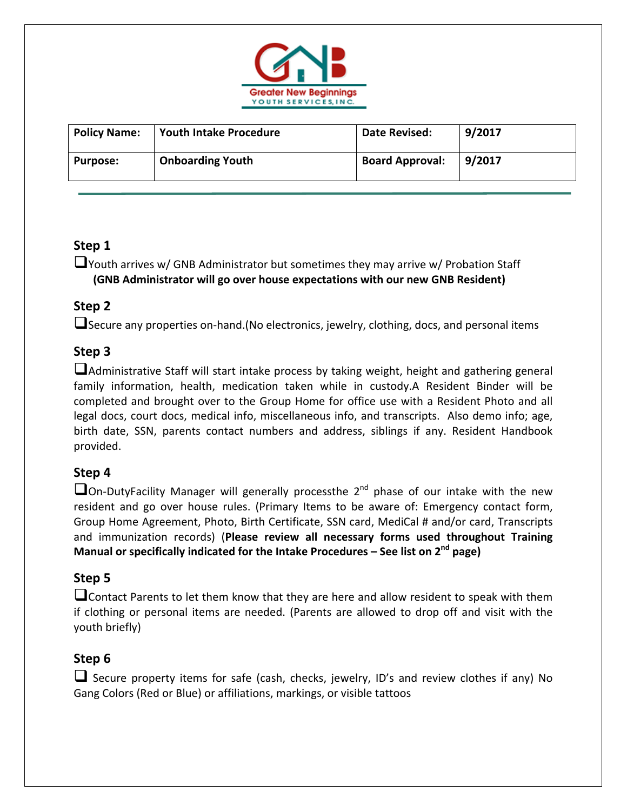

| <b>Policy Name:</b> | <b>Youth Intake Procedure</b> | Date Revised:          | 9/2017 |
|---------------------|-------------------------------|------------------------|--------|
| <b>Purpose:</b>     | <b>Onboarding Youth</b>       | <b>Board Approval:</b> | 9/2017 |

#### **Step 1**

Youth arrives w/ GNB Administrator but sometimes they may arrive w/ Probation Staff  **(GNB Administrator will go over house expectations with our new GNB Resident)**

### **Step 2**

Secure any properties on‐hand.(No electronics, jewelry, clothing, docs, and personal items

# **Step 3**

Administrative Staff will start intake process by taking weight, height and gathering general family information, health, medication taken while in custody.A Resident Binder will be completed and brought over to the Group Home for office use with a Resident Photo and all legal docs, court docs, medical info, miscellaneous info, and transcripts. Also demo info; age, birth date, SSN, parents contact numbers and address, siblings if any. Resident Handbook provided.

### **Step 4**

 $\square$  On-DutyFacility Manager will generally processthe  $2^{nd}$  phase of our intake with the new resident and go over house rules. (Primary Items to be aware of: Emergency contact form, Group Home Agreement, Photo, Birth Certificate, SSN card, MediCal # and/or card, Transcripts and immunization records) (**Please review all necessary forms used throughout Training**  Manual or specifically indicated for the Intake Procedures – See list on 2<sup>nd</sup> page)

### **Step 5**

Contact Parents to let them know that they are here and allow resident to speak with them if clothing or personal items are needed. (Parents are allowed to drop off and visit with the youth briefly)

#### **Step 6**

 Secure property items for safe (cash, checks, jewelry, ID's and review clothes if any) No Gang Colors (Red or Blue) or affiliations, markings, or visible tattoos